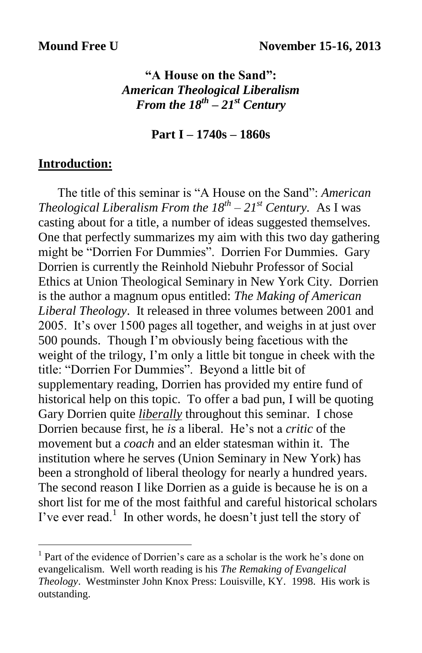### **"A House on the Sand":** *American Theological Liberalism From the 18th – 21st Century*

#### **Part I – 1740s – 1860s**

### **Introduction:**

 $\overline{a}$ 

 The title of this seminar is "A House on the Sand": *American Theological Liberalism From the*  $18^{th} - 21^{st}$  *Century.* As I was casting about for a title, a number of ideas suggested themselves. One that perfectly summarizes my aim with this two day gathering might be "Dorrien For Dummies". Dorrien For Dummies. Gary Dorrien is currently the Reinhold Niebuhr Professor of Social Ethics at Union Theological Seminary in New York City. Dorrien is the author a magnum opus entitled: *The Making of American Liberal Theology*. It released in three volumes between 2001 and 2005. It's over 1500 pages all together, and weighs in at just over 500 pounds. Though I'm obviously being facetious with the weight of the trilogy, I'm only a little bit tongue in cheek with the title: "Dorrien For Dummies". Beyond a little bit of supplementary reading, Dorrien has provided my entire fund of historical help on this topic. To offer a bad pun, I will be quoting Gary Dorrien quite *liberally* throughout this seminar. I chose Dorrien because first, he *is* a liberal. He's not a *critic* of the movement but a *coach* and an elder statesman within it. The institution where he serves (Union Seminary in New York) has been a stronghold of liberal theology for nearly a hundred years. The second reason I like Dorrien as a guide is because he is on a short list for me of the most faithful and careful historical scholars I've ever read.<sup>1</sup> In other words, he doesn't just tell the story of

<sup>&</sup>lt;sup>1</sup> Part of the evidence of Dorrien's care as a scholar is the work he's done on evangelicalism. Well worth reading is his *The Remaking of Evangelical Theology*. Westminster John Knox Press: Louisville, KY. 1998. His work is outstanding.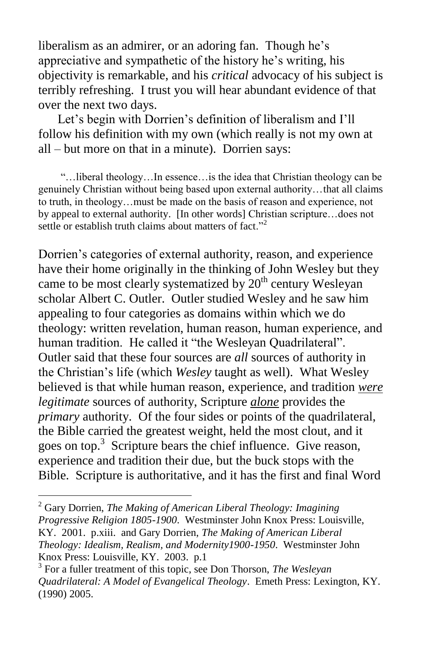liberalism as an admirer, or an adoring fan. Though he's appreciative and sympathetic of the history he's writing, his objectivity is remarkable, and his *critical* advocacy of his subject is terribly refreshing. I trust you will hear abundant evidence of that over the next two days.

 Let's begin with Dorrien's definition of liberalism and I'll follow his definition with my own (which really is not my own at all – but more on that in a minute). Dorrien says:

 "…liberal theology…In essence…is the idea that Christian theology can be genuinely Christian without being based upon external authority…that all claims to truth, in theology…must be made on the basis of reason and experience, not by appeal to external authority. [In other words] Christian scripture…does not settle or establish truth claims about matters of fact."<sup>2</sup>

Dorrien's categories of external authority, reason, and experience have their home originally in the thinking of John Wesley but they came to be most clearly systematized by  $20<sup>th</sup>$  century Wesleyan scholar Albert C. Outler. Outler studied Wesley and he saw him appealing to four categories as domains within which we do theology: written revelation, human reason, human experience, and human tradition. He called it "the Wesleyan Quadrilateral". Outler said that these four sources are *all* sources of authority in the Christian's life (which *Wesley* taught as well). What Wesley believed is that while human reason, experience, and tradition *were legitimate* sources of authority, Scripture *alone* provides the *primary* authority. Of the four sides or points of the quadrilateral, the Bible carried the greatest weight, held the most clout, and it goes on top. 3 Scripture bears the chief influence. Give reason, experience and tradition their due, but the buck stops with the Bible. Scripture is authoritative, and it has the first and final Word

<sup>2</sup> Gary Dorrien, *The Making of American Liberal Theology: Imagining Progressive Religion 1805-1900*. Westminster John Knox Press: Louisville, KY. 2001. p.xiii. and Gary Dorrien, *The Making of American Liberal Theology: Idealism, Realism, and Modernity1900-1950*. Westminster John Knox Press: Louisville, KY. 2003. p.1

<sup>3</sup> For a fuller treatment of this topic, see Don Thorson, *The Wesleyan Quadrilateral: A Model of Evangelical Theology*. Emeth Press: Lexington, KY. (1990) 2005.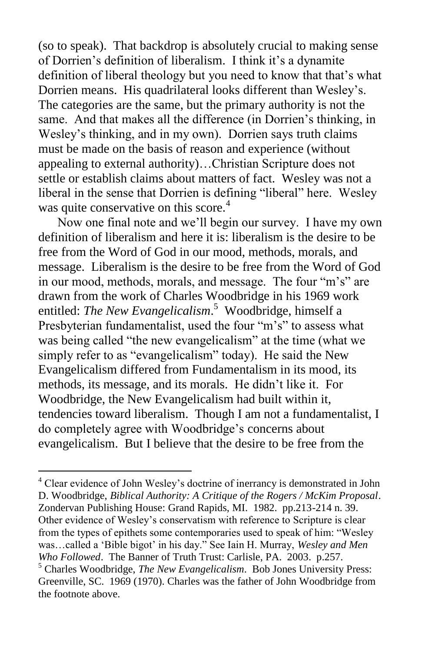(so to speak). That backdrop is absolutely crucial to making sense of Dorrien's definition of liberalism. I think it's a dynamite definition of liberal theology but you need to know that that's what Dorrien means. His quadrilateral looks different than Wesley's. The categories are the same, but the primary authority is not the same. And that makes all the difference (in Dorrien's thinking, in Wesley's thinking, and in my own). Dorrien says truth claims must be made on the basis of reason and experience (without appealing to external authority)…Christian Scripture does not settle or establish claims about matters of fact. Wesley was not a liberal in the sense that Dorrien is defining "liberal" here. Wesley was quite conservative on this score. $4$ 

 Now one final note and we'll begin our survey. I have my own definition of liberalism and here it is: liberalism is the desire to be free from the Word of God in our mood, methods, morals, and message. Liberalism is the desire to be free from the Word of God in our mood, methods, morals, and message. The four "m's" are drawn from the work of Charles Woodbridge in his 1969 work entitled: *The New Evangelicalism*. 5 Woodbridge, himself a Presbyterian fundamentalist, used the four "m's" to assess what was being called "the new evangelicalism" at the time (what we simply refer to as "evangelicalism" today). He said the New Evangelicalism differed from Fundamentalism in its mood, its methods, its message, and its morals. He didn't like it. For Woodbridge, the New Evangelicalism had built within it, tendencies toward liberalism. Though I am not a fundamentalist, I do completely agree with Woodbridge's concerns about evangelicalism. But I believe that the desire to be free from the

<sup>4</sup> Clear evidence of John Wesley's doctrine of inerrancy is demonstrated in John D. Woodbridge, *Biblical Authority: A Critique of the Rogers / McKim Proposal*. Zondervan Publishing House: Grand Rapids, MI. 1982. pp.213-214 n. 39. Other evidence of Wesley's conservatism with reference to Scripture is clear from the types of epithets some contemporaries used to speak of him: "Wesley was…called a 'Bible bigot' in his day." See Iain H. Murray, *Wesley and Men Who Followed*. The Banner of Truth Trust: Carlisle, PA. 2003. p.257. <sup>5</sup> Charles Woodbridge, *The New Evangelicalism*. Bob Jones University Press: Greenville, SC. 1969 (1970). Charles was the father of John Woodbridge from the footnote above.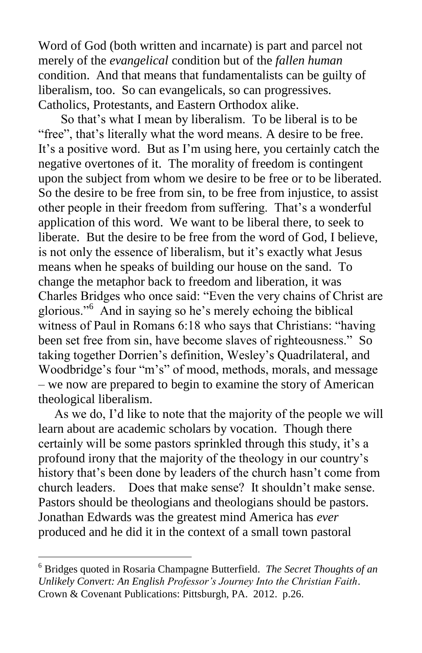Word of God (both written and incarnate) is part and parcel not merely of the *evangelical* condition but of the *fallen human* condition. And that means that fundamentalists can be guilty of liberalism, too. So can evangelicals, so can progressives. Catholics, Protestants, and Eastern Orthodox alike.

 So that's what I mean by liberalism. To be liberal is to be "free", that's literally what the word means. A desire to be free. It's a positive word. But as I'm using here, you certainly catch the negative overtones of it. The morality of freedom is contingent upon the subject from whom we desire to be free or to be liberated. So the desire to be free from sin, to be free from injustice, to assist other people in their freedom from suffering. That's a wonderful application of this word. We want to be liberal there, to seek to liberate. But the desire to be free from the word of God, I believe, is not only the essence of liberalism, but it's exactly what Jesus means when he speaks of building our house on the sand. To change the metaphor back to freedom and liberation, it was Charles Bridges who once said: "Even the very chains of Christ are glorious."<sup>6</sup> And in saying so he's merely echoing the biblical witness of Paul in Romans 6:18 who says that Christians: "having been set free from sin, have become slaves of righteousness." So taking together Dorrien's definition, Wesley's Quadrilateral, and Woodbridge's four "m's" of mood, methods, morals, and message – we now are prepared to begin to examine the story of American theological liberalism.

 As we do, I'd like to note that the majority of the people we will learn about are academic scholars by vocation. Though there certainly will be some pastors sprinkled through this study, it's a profound irony that the majority of the theology in our country's history that's been done by leaders of the church hasn't come from church leaders. Does that make sense? It shouldn't make sense. Pastors should be theologians and theologians should be pastors. Jonathan Edwards was the greatest mind America has *ever* produced and he did it in the context of a small town pastoral

<sup>6</sup> Bridges quoted in Rosaria Champagne Butterfield. *The Secret Thoughts of an Unlikely Convert: An English Professor's Journey Into the Christian Faith*. Crown & Covenant Publications: Pittsburgh, PA. 2012. p.26.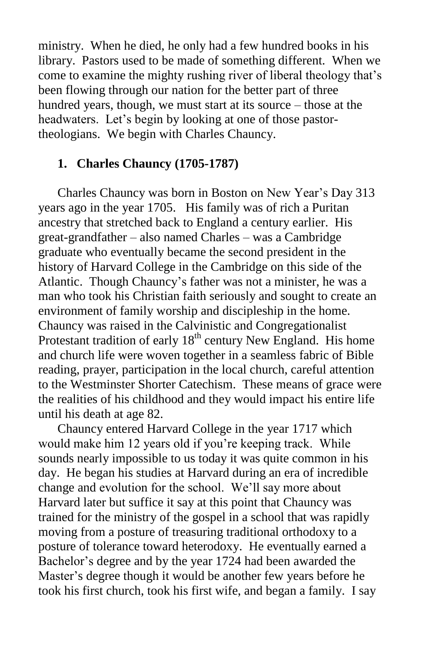ministry. When he died, he only had a few hundred books in his library. Pastors used to be made of something different. When we come to examine the mighty rushing river of liberal theology that's been flowing through our nation for the better part of three hundred years, though, we must start at its source – those at the headwaters. Let's begin by looking at one of those pastortheologians. We begin with Charles Chauncy.

### **1. Charles Chauncy (1705-1787)**

 Charles Chauncy was born in Boston on New Year's Day 313 years ago in the year 1705. His family was of rich a Puritan ancestry that stretched back to England a century earlier. His great-grandfather – also named Charles – was a Cambridge graduate who eventually became the second president in the history of Harvard College in the Cambridge on this side of the Atlantic. Though Chauncy's father was not a minister, he was a man who took his Christian faith seriously and sought to create an environment of family worship and discipleship in the home. Chauncy was raised in the Calvinistic and Congregationalist Protestant tradition of early  $18<sup>th</sup>$  century New England. His home and church life were woven together in a seamless fabric of Bible reading, prayer, participation in the local church, careful attention to the Westminster Shorter Catechism. These means of grace were the realities of his childhood and they would impact his entire life until his death at age 82.

 Chauncy entered Harvard College in the year 1717 which would make him 12 years old if you're keeping track. While sounds nearly impossible to us today it was quite common in his day. He began his studies at Harvard during an era of incredible change and evolution for the school. We'll say more about Harvard later but suffice it say at this point that Chauncy was trained for the ministry of the gospel in a school that was rapidly moving from a posture of treasuring traditional orthodoxy to a posture of tolerance toward heterodoxy. He eventually earned a Bachelor's degree and by the year 1724 had been awarded the Master's degree though it would be another few years before he took his first church, took his first wife, and began a family. I say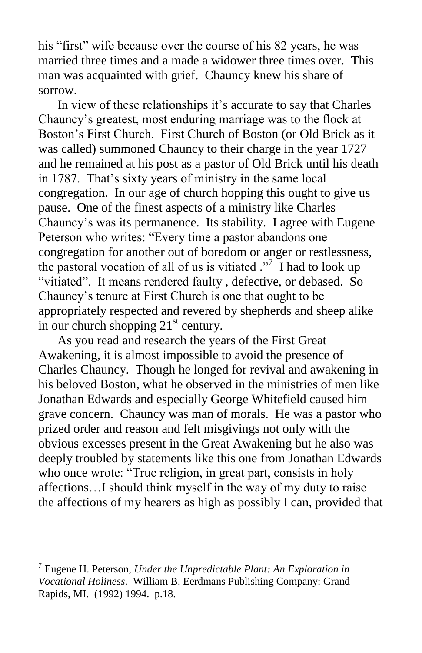his "first" wife because over the course of his 82 years, he was married three times and a made a widower three times over. This man was acquainted with grief. Chauncy knew his share of sorrow.

 In view of these relationships it's accurate to say that Charles Chauncy's greatest, most enduring marriage was to the flock at Boston's First Church. First Church of Boston (or Old Brick as it was called) summoned Chauncy to their charge in the year 1727 and he remained at his post as a pastor of Old Brick until his death in 1787. That's sixty years of ministry in the same local congregation. In our age of church hopping this ought to give us pause. One of the finest aspects of a ministry like Charles Chauncy's was its permanence. Its stability. I agree with Eugene Peterson who writes: "Every time a pastor abandons one congregation for another out of boredom or anger or restlessness, the pastoral vocation of all of us is vitiated  $\cdot$ <sup>7</sup> I had to look up "vitiated". It means rendered faulty , defective, or debased. So Chauncy's tenure at First Church is one that ought to be appropriately respected and revered by shepherds and sheep alike in our church shopping  $21<sup>st</sup>$  century.

 As you read and research the years of the First Great Awakening, it is almost impossible to avoid the presence of Charles Chauncy. Though he longed for revival and awakening in his beloved Boston, what he observed in the ministries of men like Jonathan Edwards and especially George Whitefield caused him grave concern. Chauncy was man of morals. He was a pastor who prized order and reason and felt misgivings not only with the obvious excesses present in the Great Awakening but he also was deeply troubled by statements like this one from Jonathan Edwards who once wrote: "True religion, in great part, consists in holy affections…I should think myself in the way of my duty to raise the affections of my hearers as high as possibly I can, provided that

<sup>7</sup> Eugene H. Peterson, *Under the Unpredictable Plant: An Exploration in Vocational Holiness*. William B. Eerdmans Publishing Company: Grand Rapids, MI. (1992) 1994. p.18.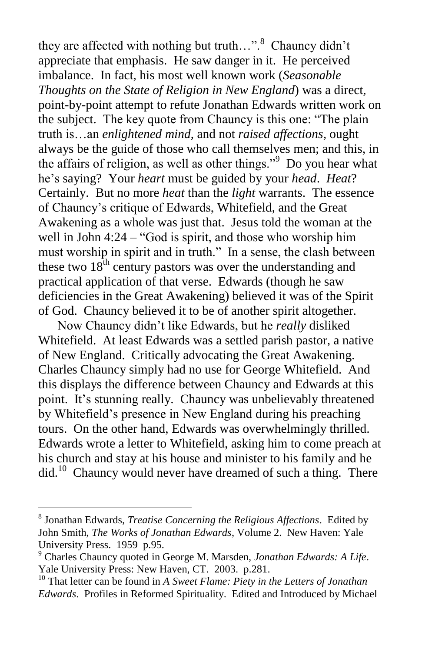they are affected with nothing but truth...".<sup>8</sup> Chauncy didn't appreciate that emphasis. He saw danger in it. He perceived imbalance. In fact, his most well known work (*Seasonable Thoughts on the State of Religion in New England*) was a direct, point-by-point attempt to refute Jonathan Edwards written work on the subject. The key quote from Chauncy is this one: "The plain truth is…an *enlightened mind*, and not *raised affections*, ought always be the guide of those who call themselves men; and this, in the affairs of religion, as well as other things."<sup>9</sup> Do you hear what he's saying? Your *heart* must be guided by your *head*. *Heat*? Certainly. But no more *heat* than the *light* warrants. The essence of Chauncy's critique of Edwards, Whitefield, and the Great Awakening as a whole was just that. Jesus told the woman at the well in John 4:24 – "God is spirit, and those who worship him must worship in spirit and in truth." In a sense, the clash between these two  $18<sup>th</sup>$  century pastors was over the understanding and practical application of that verse. Edwards (though he saw deficiencies in the Great Awakening) believed it was of the Spirit of God. Chauncy believed it to be of another spirit altogether.

 Now Chauncy didn't like Edwards, but he *really* disliked Whitefield. At least Edwards was a settled parish pastor, a native of New England. Critically advocating the Great Awakening. Charles Chauncy simply had no use for George Whitefield. And this displays the difference between Chauncy and Edwards at this point. It's stunning really. Chauncy was unbelievably threatened by Whitefield's presence in New England during his preaching tours. On the other hand, Edwards was overwhelmingly thrilled. Edwards wrote a letter to Whitefield, asking him to come preach at his church and stay at his house and minister to his family and he did. 10 Chauncy would never have dreamed of such a thing. There

<sup>8</sup> Jonathan Edwards, *Treatise Concerning the Religious Affections*. Edited by John Smith, *The Works of Jonathan Edwards*, Volume 2. New Haven: Yale University Press. 1959 p.95.

<sup>9</sup> Charles Chauncy quoted in George M. Marsden, *Jonathan Edwards: A Life*. Yale University Press: New Haven, CT. 2003. p.281.

<sup>10</sup> That letter can be found in *A Sweet Flame: Piety in the Letters of Jonathan Edwards*. Profiles in Reformed Spirituality. Edited and Introduced by Michael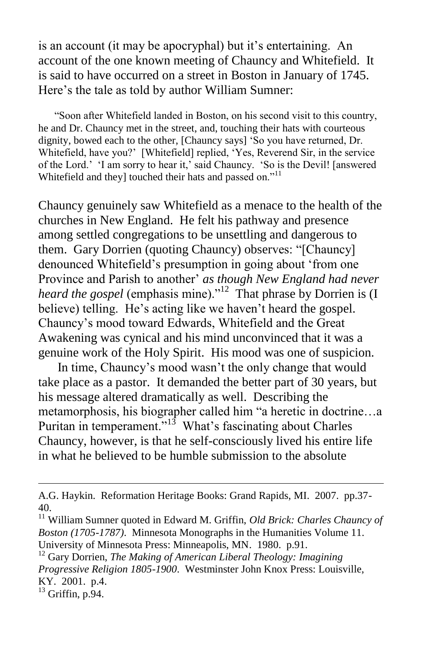is an account (it may be apocryphal) but it's entertaining. An account of the one known meeting of Chauncy and Whitefield. It is said to have occurred on a street in Boston in January of 1745. Here's the tale as told by author William Sumner:

 "Soon after Whitefield landed in Boston, on his second visit to this country, he and Dr. Chauncy met in the street, and, touching their hats with courteous dignity, bowed each to the other, [Chauncy says] 'So you have returned, Dr. Whitefield, have you?' [Whitefield] replied, 'Yes, Reverend Sir, in the service of the Lord.' 'I am sorry to hear it,' said Chauncy. 'So is the Devil! [answered Whitefield and they] touched their hats and passed on."<sup>11</sup>

Chauncy genuinely saw Whitefield as a menace to the health of the churches in New England. He felt his pathway and presence among settled congregations to be unsettling and dangerous to them. Gary Dorrien (quoting Chauncy) observes: "[Chauncy] denounced Whitefield's presumption in going about 'from one Province and Parish to another' *as though New England had never*  heard the gospel (emphasis mine)."<sup>12</sup> That phrase by Dorrien is (I believe) telling. He's acting like we haven't heard the gospel. Chauncy's mood toward Edwards, Whitefield and the Great Awakening was cynical and his mind unconvinced that it was a genuine work of the Holy Spirit. His mood was one of suspicion.

 In time, Chauncy's mood wasn't the only change that would take place as a pastor. It demanded the better part of 30 years, but his message altered dramatically as well. Describing the metamorphosis, his biographer called him "a heretic in doctrine…a Puritan in temperament."<sup>13</sup> What's fascinating about Charles Chauncy, however, is that he self-consciously lived his entire life in what he believed to be humble submission to the absolute

 $13$  Griffin, p. 94.

A.G. Haykin. Reformation Heritage Books: Grand Rapids, MI. 2007. pp.37- 40.

<sup>11</sup> William Sumner quoted in Edward M. Griffin, *Old Brick: Charles Chauncy of Boston (1705-1787)*. Minnesota Monographs in the Humanities Volume 11. University of Minnesota Press: Minneapolis, MN. 1980. p.91.

<sup>12</sup> Gary Dorrien, *The Making of American Liberal Theology: Imagining Progressive Religion 1805-1900*. Westminster John Knox Press: Louisville, KY. 2001. p.4.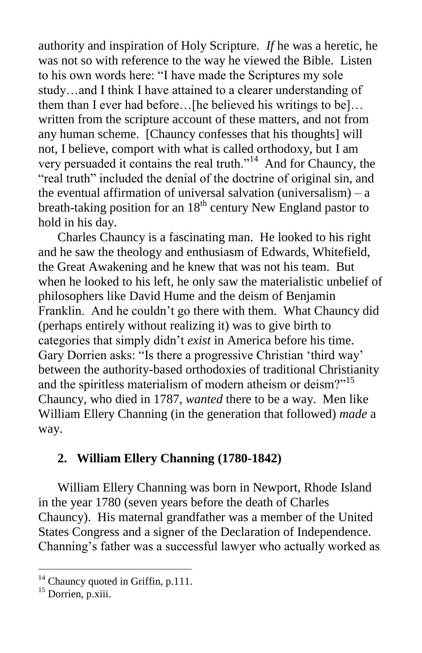authority and inspiration of Holy Scripture. *If* he was a heretic, he was not so with reference to the way he viewed the Bible. Listen to his own words here: "I have made the Scriptures my sole study…and I think I have attained to a clearer understanding of them than I ever had before…[he believed his writings to be]… written from the scripture account of these matters, and not from any human scheme. [Chauncy confesses that his thoughts] will not, I believe, comport with what is called orthodoxy, but I am very persuaded it contains the real truth."<sup>14</sup> And for Chauncy, the "real truth" included the denial of the doctrine of original sin, and the eventual affirmation of universal salvation (universalism)  $- a$ breath-taking position for an  $18<sup>th</sup>$  century New England pastor to hold in his day.

 Charles Chauncy is a fascinating man. He looked to his right and he saw the theology and enthusiasm of Edwards, Whitefield, the Great Awakening and he knew that was not his team. But when he looked to his left, he only saw the materialistic unbelief of philosophers like David Hume and the deism of Benjamin Franklin. And he couldn't go there with them. What Chauncy did (perhaps entirely without realizing it) was to give birth to categories that simply didn't *exist* in America before his time. Gary Dorrien asks: "Is there a progressive Christian 'third way' between the authority-based orthodoxies of traditional Christianity and the spiritless materialism of modern atheism or deism?"<sup>15</sup> Chauncy, who died in 1787, *wanted* there to be a way. Men like William Ellery Channing (in the generation that followed) *made* a way.

# **2. William Ellery Channing (1780-1842)**

 William Ellery Channing was born in Newport, Rhode Island in the year 1780 (seven years before the death of Charles Chauncy). His maternal grandfather was a member of the United States Congress and a signer of the Declaration of Independence. Channing's father was a successful lawyer who actually worked as

<sup>&</sup>lt;sup>14</sup> Chauncy quoted in Griffin, p.111.

 $^{15}$  Dorrien, p.xiii.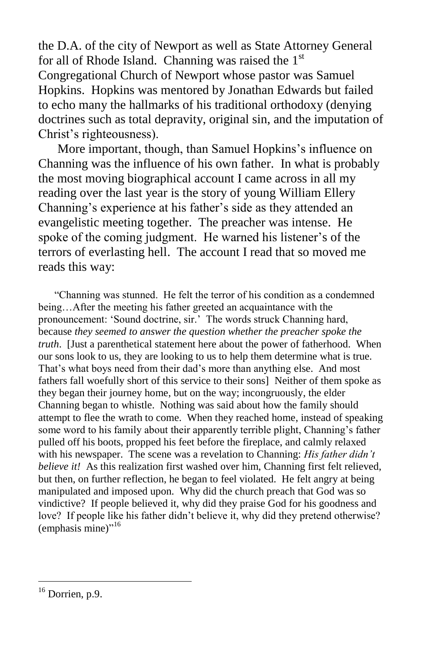the D.A. of the city of Newport as well as State Attorney General for all of Rhode Island. Channing was raised the  $1<sup>st</sup>$ Congregational Church of Newport whose pastor was Samuel Hopkins. Hopkins was mentored by Jonathan Edwards but failed to echo many the hallmarks of his traditional orthodoxy (denying doctrines such as total depravity, original sin, and the imputation of Christ's righteousness).

 More important, though, than Samuel Hopkins's influence on Channing was the influence of his own father. In what is probably the most moving biographical account I came across in all my reading over the last year is the story of young William Ellery Channing's experience at his father's side as they attended an evangelistic meeting together. The preacher was intense. He spoke of the coming judgment. He warned his listener's of the terrors of everlasting hell. The account I read that so moved me reads this way:

 "Channing was stunned. He felt the terror of his condition as a condemned being…After the meeting his father greeted an acquaintance with the pronouncement: 'Sound doctrine, sir.' The words struck Channing hard, because *they seemed to answer the question whether the preacher spoke the truth*. [Just a parenthetical statement here about the power of fatherhood. When our sons look to us, they are looking to us to help them determine what is true. That's what boys need from their dad's more than anything else. And most fathers fall woefully short of this service to their sons] Neither of them spoke as they began their journey home, but on the way; incongruously, the elder Channing began to whistle. Nothing was said about how the family should attempt to flee the wrath to come. When they reached home, instead of speaking some word to his family about their apparently terrible plight, Channing's father pulled off his boots, propped his feet before the fireplace, and calmly relaxed with his newspaper. The scene was a revelation to Channing: *His father didn't believe it!* As this realization first washed over him, Channing first felt relieved, but then, on further reflection, he began to feel violated. He felt angry at being manipulated and imposed upon. Why did the church preach that God was so vindictive? If people believed it, why did they praise God for his goodness and love? If people like his father didn't believe it, why did they pretend otherwise? (emphasis mine)"<sup>16</sup>

 $16$  Dorrien, p.9.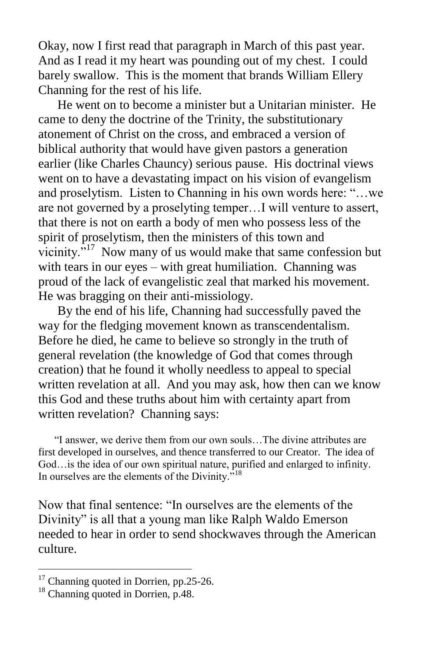Okay, now I first read that paragraph in March of this past year. And as I read it my heart was pounding out of my chest. I could barely swallow. This is the moment that brands William Ellery Channing for the rest of his life.

 He went on to become a minister but a Unitarian minister. He came to deny the doctrine of the Trinity, the substitutionary atonement of Christ on the cross, and embraced a version of biblical authority that would have given pastors a generation earlier (like Charles Chauncy) serious pause. His doctrinal views went on to have a devastating impact on his vision of evangelism and proselytism. Listen to Channing in his own words here: "…we are not governed by a proselyting temper…I will venture to assert, that there is not on earth a body of men who possess less of the spirit of proselytism, then the ministers of this town and vicinity.<sup> $517$ </sup> Now many of us would make that same confession but with tears in our eyes – with great humiliation. Channing was proud of the lack of evangelistic zeal that marked his movement. He was bragging on their anti-missiology.

 By the end of his life, Channing had successfully paved the way for the fledging movement known as transcendentalism. Before he died, he came to believe so strongly in the truth of general revelation (the knowledge of God that comes through creation) that he found it wholly needless to appeal to special written revelation at all. And you may ask, how then can we know this God and these truths about him with certainty apart from written revelation? Channing says:

 "I answer, we derive them from our own souls…The divine attributes are first developed in ourselves, and thence transferred to our Creator. The idea of God…is the idea of our own spiritual nature, purified and enlarged to infinity. In ourselves are the elements of the Divinity."<sup>18</sup>

Now that final sentence: "In ourselves are the elements of the Divinity" is all that a young man like Ralph Waldo Emerson needed to hear in order to send shockwaves through the American culture.

<sup>&</sup>lt;sup>17</sup> Channing quoted in Dorrien, pp.25-26.

<sup>&</sup>lt;sup>18</sup> Channing quoted in Dorrien, p.48.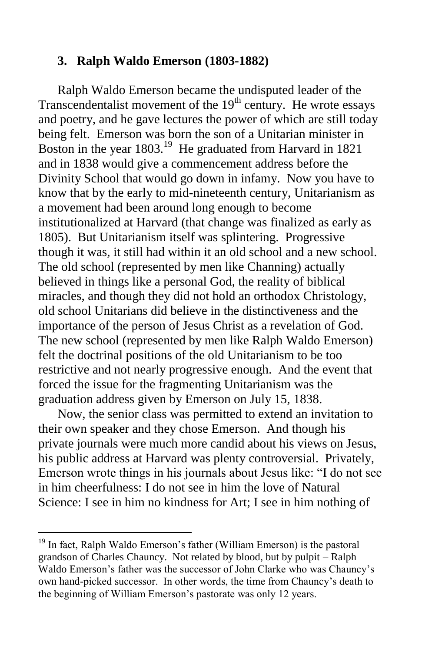#### **3. Ralph Waldo Emerson (1803-1882)**

 Ralph Waldo Emerson became the undisputed leader of the Transcendentalist movement of the  $19<sup>th</sup>$  century. He wrote essays and poetry, and he gave lectures the power of which are still today being felt. Emerson was born the son of a Unitarian minister in Boston in the year 1803.<sup>19</sup> He graduated from Harvard in 1821 and in 1838 would give a commencement address before the Divinity School that would go down in infamy. Now you have to know that by the early to mid-nineteenth century, Unitarianism as a movement had been around long enough to become institutionalized at Harvard (that change was finalized as early as 1805). But Unitarianism itself was splintering. Progressive though it was, it still had within it an old school and a new school. The old school (represented by men like Channing) actually believed in things like a personal God, the reality of biblical miracles, and though they did not hold an orthodox Christology, old school Unitarians did believe in the distinctiveness and the importance of the person of Jesus Christ as a revelation of God. The new school (represented by men like Ralph Waldo Emerson) felt the doctrinal positions of the old Unitarianism to be too restrictive and not nearly progressive enough. And the event that forced the issue for the fragmenting Unitarianism was the graduation address given by Emerson on July 15, 1838.

 Now, the senior class was permitted to extend an invitation to their own speaker and they chose Emerson. And though his private journals were much more candid about his views on Jesus, his public address at Harvard was plenty controversial. Privately, Emerson wrote things in his journals about Jesus like: "I do not see in him cheerfulness: I do not see in him the love of Natural Science: I see in him no kindness for Art; I see in him nothing of

<sup>&</sup>lt;sup>19</sup> In fact, Ralph Waldo Emerson's father (William Emerson) is the pastoral grandson of Charles Chauncy. Not related by blood, but by pulpit – Ralph Waldo Emerson's father was the successor of John Clarke who was Chauncy's own hand-picked successor. In other words, the time from Chauncy's death to the beginning of William Emerson's pastorate was only 12 years.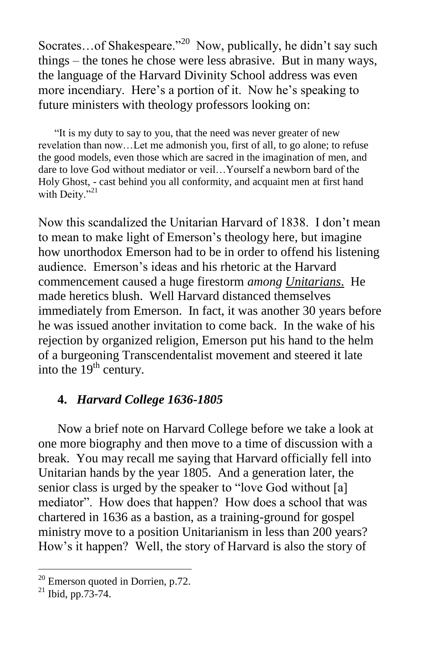Socrates...of Shakespeare."<sup>20</sup> Now, publically, he didn't say such things – the tones he chose were less abrasive. But in many ways, the language of the Harvard Divinity School address was even more incendiary. Here's a portion of it. Now he's speaking to future ministers with theology professors looking on:

 "It is my duty to say to you, that the need was never greater of new revelation than now…Let me admonish you, first of all, to go alone; to refuse the good models, even those which are sacred in the imagination of men, and dare to love God without mediator or veil…Yourself a newborn bard of the Holy Ghost, - cast behind you all conformity, and acquaint men at first hand with Deity."<sup>21</sup>

Now this scandalized the Unitarian Harvard of 1838. I don't mean to mean to make light of Emerson's theology here, but imagine how unorthodox Emerson had to be in order to offend his listening audience. Emerson's ideas and his rhetoric at the Harvard commencement caused a huge firestorm *among Unitarians*. He made heretics blush. Well Harvard distanced themselves immediately from Emerson. In fact, it was another 30 years before he was issued another invitation to come back. In the wake of his rejection by organized religion, Emerson put his hand to the helm of a burgeoning Transcendentalist movement and steered it late into the  $19<sup>th</sup>$  century.

### **4.** *Harvard College 1636-1805*

 Now a brief note on Harvard College before we take a look at one more biography and then move to a time of discussion with a break. You may recall me saying that Harvard officially fell into Unitarian hands by the year 1805. And a generation later, the senior class is urged by the speaker to "love God without [a] mediator". How does that happen? How does a school that was chartered in 1636 as a bastion, as a training-ground for gospel ministry move to a position Unitarianism in less than 200 years? How's it happen? Well, the story of Harvard is also the story of

 $20$  Emerson quoted in Dorrien, p.72.

 $^{21}$  Ibid, pp.73-74.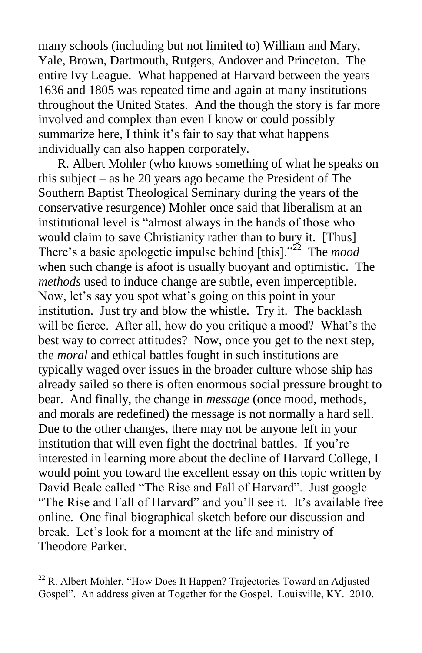many schools (including but not limited to) William and Mary, Yale, Brown, Dartmouth, Rutgers, Andover and Princeton. The entire Ivy League. What happened at Harvard between the years 1636 and 1805 was repeated time and again at many institutions throughout the United States. And the though the story is far more involved and complex than even I know or could possibly summarize here, I think it's fair to say that what happens individually can also happen corporately.

 R. Albert Mohler (who knows something of what he speaks on this subject – as he 20 years ago became the President of The Southern Baptist Theological Seminary during the years of the conservative resurgence) Mohler once said that liberalism at an institutional level is "almost always in the hands of those who would claim to save Christianity rather than to bury it. [Thus] There's a basic apologetic impulse behind [this]."<sup>22</sup> The *mood* when such change is afoot is usually buoyant and optimistic. The *methods* used to induce change are subtle, even imperceptible. Now, let's say you spot what's going on this point in your institution. Just try and blow the whistle. Try it. The backlash will be fierce. After all, how do you critique a mood? What's the best way to correct attitudes? Now, once you get to the next step, the *moral* and ethical battles fought in such institutions are typically waged over issues in the broader culture whose ship has already sailed so there is often enormous social pressure brought to bear. And finally, the change in *message* (once mood, methods, and morals are redefined) the message is not normally a hard sell. Due to the other changes, there may not be anyone left in your institution that will even fight the doctrinal battles. If you're interested in learning more about the decline of Harvard College, I would point you toward the excellent essay on this topic written by David Beale called "The Rise and Fall of Harvard". Just google "The Rise and Fall of Harvard" and you'll see it. It's available free online. One final biographical sketch before our discussion and break. Let's look for a moment at the life and ministry of Theodore Parker.

 $22$  R. Albert Mohler, "How Does It Happen? Trajectories Toward an Adjusted Gospel". An address given at Together for the Gospel. Louisville, KY. 2010.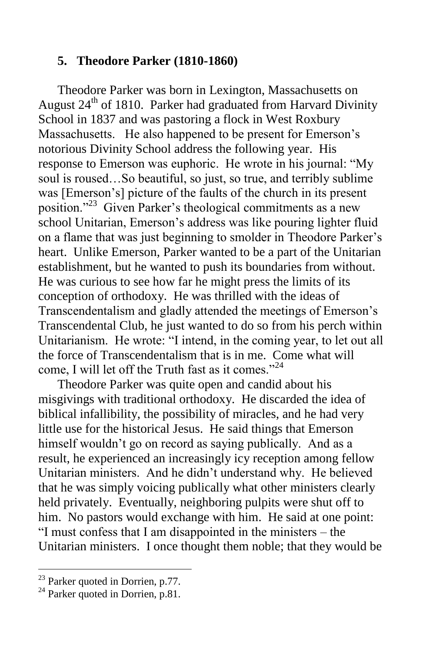### **5. Theodore Parker (1810-1860)**

 Theodore Parker was born in Lexington, Massachusetts on August  $24<sup>th</sup>$  of 1810. Parker had graduated from Harvard Divinity School in 1837 and was pastoring a flock in West Roxbury Massachusetts. He also happened to be present for Emerson's notorious Divinity School address the following year. His response to Emerson was euphoric. He wrote in his journal: "My soul is roused…So beautiful, so just, so true, and terribly sublime was [Emerson's] picture of the faults of the church in its present position."<sup>23</sup> Given Parker's theological commitments as a new school Unitarian, Emerson's address was like pouring lighter fluid on a flame that was just beginning to smolder in Theodore Parker's heart. Unlike Emerson, Parker wanted to be a part of the Unitarian establishment, but he wanted to push its boundaries from without. He was curious to see how far he might press the limits of its conception of orthodoxy. He was thrilled with the ideas of Transcendentalism and gladly attended the meetings of Emerson's Transcendental Club, he just wanted to do so from his perch within Unitarianism. He wrote: "I intend, in the coming year, to let out all the force of Transcendentalism that is in me. Come what will come, I will let off the Truth fast as it comes."<sup>24</sup>

 Theodore Parker was quite open and candid about his misgivings with traditional orthodoxy. He discarded the idea of biblical infallibility, the possibility of miracles, and he had very little use for the historical Jesus. He said things that Emerson himself wouldn't go on record as saying publically. And as a result, he experienced an increasingly icy reception among fellow Unitarian ministers. And he didn't understand why. He believed that he was simply voicing publically what other ministers clearly held privately. Eventually, neighboring pulpits were shut off to him. No pastors would exchange with him. He said at one point: "I must confess that I am disappointed in the ministers – the Unitarian ministers. I once thought them noble; that they would be

<sup>&</sup>lt;sup>23</sup> Parker quoted in Dorrien, p.77.

 $^{24}$  Parker quoted in Dorrien, p.81.